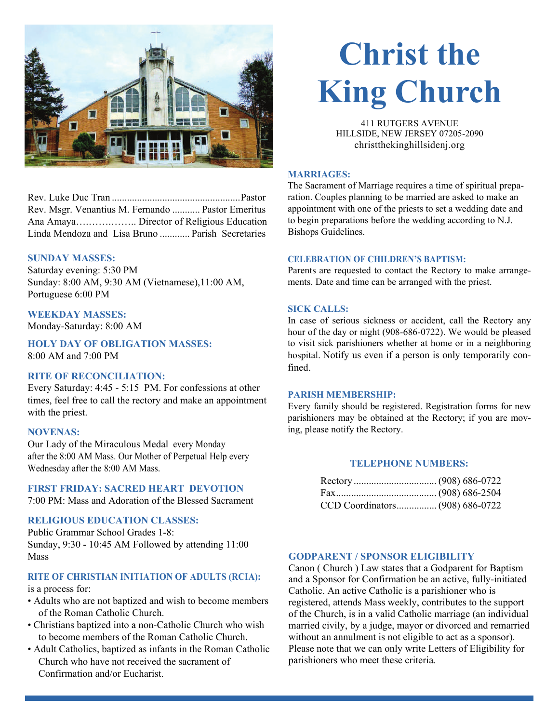

# Rev. Luke Duc Tran ................................................... Pastor Rev. Msgr. Venantius M. Fernando ........... Pastor Emeritus Ana Amaya….…….…….. Director of Religious Education Linda Mendoza and Lisa Bruno ............ Parish Secretaries

# **SUNDAY MASSES:**

Saturday evening: 5:30 PM Sunday: 8:00 AM, 9:30 AM (Vietnamese),11:00 AM, Portuguese 6:00 PM

# **WEEKDAY MASSES:**

Monday-Saturday: 8:00 AM

**HOLY DAY OF OBLIGATION MASSES:** 

8:00 AM and 7:00 PM

# **RITE OF RECONCILIATION:**

Every Saturday: 4:45 - 5:15 PM. For confessions at other times, feel free to call the rectory and make an appointment with the priest.

# **NOVENAS:**

Our Lady of the Miraculous Medal every Monday after the 8:00 AM Mass. Our Mother of Perpetual Help every Wednesday after the 8:00 AM Mass.

# **FIRST FRIDAY: SACRED HEART DEVOTION**

7:00 PM: Mass and Adoration of the Blessed Sacrament

# **RELIGIOUS EDUCATION CLASSES:**

Public Grammar School Grades 1-8: Sunday, 9:30 - 10:45 AM Followed by attending 11:00 Mass

# **RITE OF CHRISTIAN INITIATION OF ADULTS (RCIA):**

is a process for:

- Adults who are not baptized and wish to become members of the Roman Catholic Church.
- Christians baptized into a non-Catholic Church who wish to become members of the Roman Catholic Church.
- Adult Catholics, baptized as infants in the Roman Catholic Church who have not received the sacrament of Confirmation and/or Eucharist.

# **Christ the King Church**

411 RUTGERS AVENUE HILLSIDE, NEW JERSEY 07205-2090 christthekinghillsidenj.org

#### **MARRIAGES:**

The Sacrament of Marriage requires a time of spiritual preparation. Couples planning to be married are asked to make an appointment with one of the priests to set a wedding date and to begin preparations before the wedding according to N.J. Bishops Guidelines.

### **CELEBRATION OF CHILDREN'S BAPTISM:**

Parents are requested to contact the Rectory to make arrangements. Date and time can be arranged with the priest.

#### **SICK CALLS:**

In case of serious sickness or accident, call the Rectory any hour of the day or night (908-686-0722). We would be pleased to visit sick parishioners whether at home or in a neighboring hospital. Notify us even if a person is only temporarily confined.

# **PARISH MEMBERSHIP:**

Every family should be registered. Registration forms for new parishioners may be obtained at the Rectory; if you are moving, please notify the Rectory.

# **TELEPHONE NUMBERS:**

# **GODPARENT / SPONSOR ELIGIBILITY**

Canon ( Church ) Law states that a Godparent for Baptism and a Sponsor for Confirmation be an active, fully-initiated Catholic. An active Catholic is a parishioner who is registered, attends Mass weekly, contributes to the support of the Church, is in a valid Catholic marriage (an individual married civily, by a judge, mayor or divorced and remarried without an annulment is not eligible to act as a sponsor). Please note that we can only write Letters of Eligibility for parishioners who meet these criteria.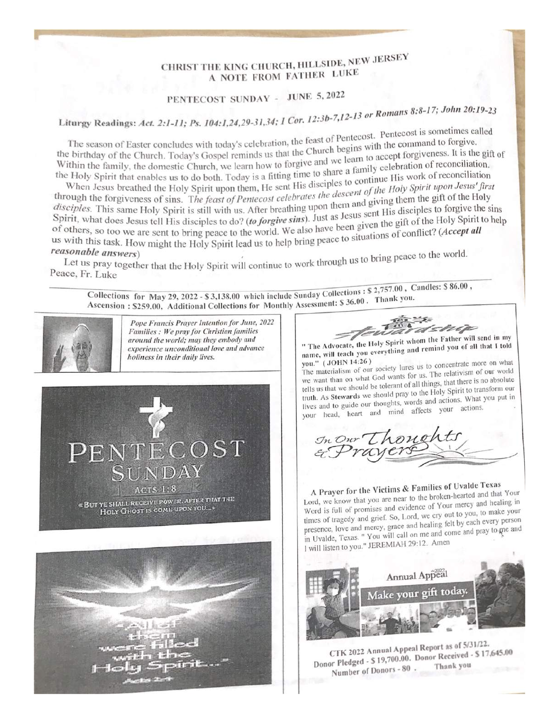# CHRIST THE KING CHURCH, HILLSIDE, NEW JERSEY A NOTE FROM FATHER LUKE

# PENTECOST SUNDAY - JUNE 5, 2022

Liturgy Readings: Act. 2:1-11; Ps. 104:1,24,29-31,34; 1 Cor. 12:3b-7,12-13 or Romans 8:8-17; John 20:19-23

The season of Easter concludes with today's celebration, the feast of Pentecost. Pentecost is sometimes called the birthday of the Church. Today's Gospel reminds us that the Church begins with the command to forgive.<br>Within the family of the Church. Today's Gospel reminds us that the Church begins with the command to forgive Within the family, the domestic Church, we learn how to forgive and we learn to accept forgiveness. It is the gift of<br>the Holy Spirit that we domestic Church, we learn how to forgive and we learn to accept forgiveness. It the Holy Spirit that enables us to do both. Today is a fitting time to share a family celebration of reconciliation.<br>When Joseph broaths is it is used to do both. Today is a fitting time to share a family celebration of re

When Jesus breathed the Holy Spirit upon them, He sent His disciples to continue His work of reconciliation<br>ough the foreign and the Holy Spirit upon them, He sent His disciples to continue His work of reconciliation through the forgiveness of sins. The feast of Pentecost celebrates the descent of the Holy Spirit upon Jesus' first<br>disciples. This again, The feast of Pentecost celebrates the descent of the Holy Spirit upon Jesus' first disciples. This same Holy Spirit is still with us. After breathing upon them and giving them the gift of the Holy<br>Spirit, what does I Spirit, what does Jesus tell His disciples to do? (to forgive sins). Just as Jesus sent His disciples to forgive the sins<br>of others, so too me of others, so too we are sent to bring peace to the world. We also have been given the gift of the Holy Spirit to help<br>us with this task II us with this task. How might the Holy Spirit lead us to help bring peace to situations of conflict? (Accept all reasonable questions) reasonable answers)

Let us pray together that the Holy Spirit will continue to work through us to bring peace to the world. Peace, Fr. Luke

Collections for May 29, 2022 - \$3,138.00 which include Sunday Collections : \$2,757.00, Candles: \$86.00, Ascension: \$259.00, Additional Collections for Monthly Assessment: \$36.00. Thank you.



Pope Francis Prayer Intention for June, 2022 Families : We pray for Christian families around the world; may they embody and experience unconditional love and advance holiness in their daily lives.





dsnip " The Advocate, the Holy Spirit whom the Father will send in my name, will teach you everything and remind you of all that I told

The materialism of our society lures us to concentrate more on what you." (JOHN 14:26) we want than on what God wants for us. The relativism of our world tells us that we should be tolerant of all things, that there is no absolute truth. As Stewards we should pray to the Holy Spirit to transform our lives and to guide our thoughts, words and actions. What you put in your head, heart and mind affects your actions.



A Prayer for the Victims & Families of Uvalde Texas Lord, we know that you are near to the broken-hearted and that Your Word is full of promises and evidence of Your mercy and healing in times of tragedy and grief. So, Lord, we cry out to you, to make your presence, love and mercy, grace and healing felt by each every person in Uvalde, Texas. " You will call on me and come and pray to gne and I will listen to you." JEREMIAH 29:12. Amen



CTK 2022 Annual Appeal Report as of 5/31/22. Donor Pledged - \$ 19,700.00. Donor Received - \$ 17,645.00 Thank you Number of Donors - 80.